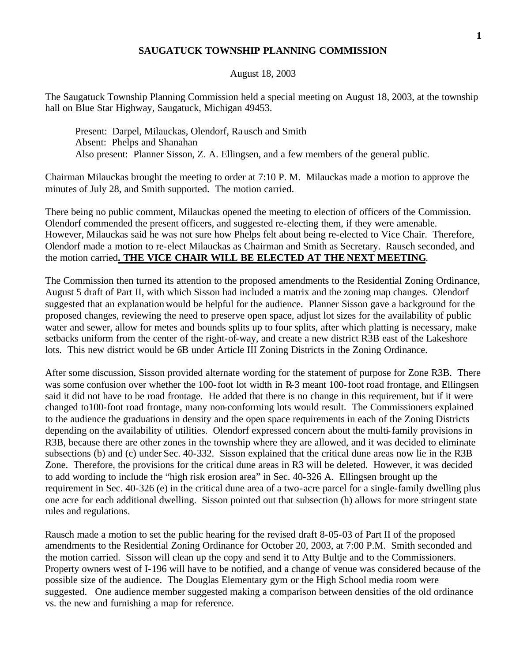## **SAUGATUCK TOWNSHIP PLANNING COMMISSION**

## August 18, 2003

The Saugatuck Township Planning Commission held a special meeting on August 18, 2003, at the township hall on Blue Star Highway, Saugatuck, Michigan 49453.

Present: Darpel, Milauckas, Olendorf, Rausch and Smith Absent: Phelps and Shanahan Also present: Planner Sisson, Z. A. Ellingsen, and a few members of the general public.

Chairman Milauckas brought the meeting to order at 7:10 P. M. Milauckas made a motion to approve the minutes of July 28, and Smith supported. The motion carried.

There being no public comment, Milauckas opened the meeting to election of officers of the Commission. Olendorf commended the present officers, and suggested re-electing them, if they were amenable. However, Milauckas said he was not sure how Phelps felt about being re-elected to Vice Chair. Therefore, Olendorf made a motion to re-elect Milauckas as Chairman and Smith as Secretary. Rausch seconded, and the motion carried**. THE VICE CHAIR WILL BE ELECTED AT THE NEXT MEETING**.

The Commission then turned its attention to the proposed amendments to the Residential Zoning Ordinance, August 5 draft of Part II, with which Sisson had included a matrix and the zoning map changes. Olendorf suggested that an explanation would be helpful for the audience. Planner Sisson gave a background for the proposed changes, reviewing the need to preserve open space, adjust lot sizes for the availability of public water and sewer, allow for metes and bounds splits up to four splits, after which platting is necessary, make setbacks uniform from the center of the right-of-way, and create a new district R3B east of the Lakeshore lots. This new district would be 6B under Article III Zoning Districts in the Zoning Ordinance.

After some discussion, Sisson provided alternate wording for the statement of purpose for Zone R3B. There was some confusion over whether the 100-foot lot width in R-3 meant 100-foot road frontage, and Ellingsen said it did not have to be road frontage. He added that there is no change in this requirement, but if it were changed to100-foot road frontage, many non-conforming lots would result. The Commissioners explained to the audience the graduations in density and the open space requirements in each of the Zoning Districts depending on the availability of utilities. Olendorf expressed concern about the multi-family provisions in R3B, because there are other zones in the township where they are allowed, and it was decided to eliminate subsections (b) and (c) under Sec. 40-332. Sisson explained that the critical dune areas now lie in the R3B Zone. Therefore, the provisions for the critical dune areas in R3 will be deleted. However, it was decided to add wording to include the "high risk erosion area" in Sec. 40-326 A. Ellingsen brought up the requirement in Sec. 40-326 (e) in the critical dune area of a two-acre parcel for a single-family dwelling plus one acre for each additional dwelling. Sisson pointed out that subsection (h) allows for more stringent state rules and regulations.

Rausch made a motion to set the public hearing for the revised draft 8-05-03 of Part II of the proposed amendments to the Residential Zoning Ordinance for October 20, 2003, at 7:00 P.M. Smith seconded and the motion carried. Sisson will clean up the copy and send it to Atty Bultje and to the Commissioners. Property owners west of I-196 will have to be notified, and a change of venue was considered because of the possible size of the audience. The Douglas Elementary gym or the High School media room were suggested. One audience member suggested making a comparison between densities of the old ordinance vs. the new and furnishing a map for reference.